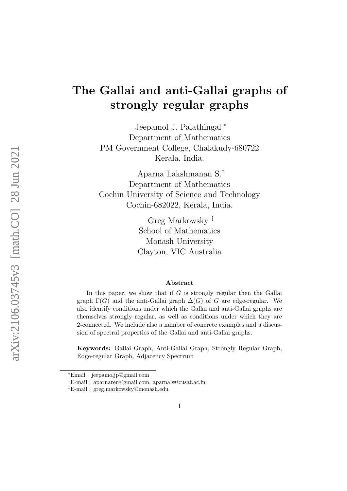# <span id="page-0-0"></span>The Gallai and anti-Gallai graphs of strongly regular graphs

Jeepamol J. Palathingal <sup>∗</sup> Department of Mathematics PM Government College, Chalakudy-680722 Kerala, India.

Aparna Lakshmanan S.† Department of Mathematics Cochin University of Science and Technology Cochin-682022, Kerala, India.

> Greg Markowsky ‡ School of Mathematics Monash University Clayton, VIC Australia

#### Abstract

In this paper, we show that if  $G$  is strongly regular then the Gallai graph  $\Gamma(G)$  and the anti-Gallai graph  $\Delta(G)$  of G are edge-regular. We also identify conditions under which the Gallai and anti-Gallai graphs are themselves strongly regular, as well as conditions under which they are 2-connected. We include also a number of concrete examples and a discussion of spectral properties of the Gallai and anti-Gallai graphs.

Keywords: Gallai Graph, Anti-Gallai Graph, Strongly Regular Graph, Edge-regular Graph, Adjacency Spectrum

<sup>∗</sup>Email : jeepamoljp@gmail.com

<sup>†</sup>E-mail : aparnaren@gmail.com, aparnals@cusat.ac.in

<sup>‡</sup>E-mail : greg.markowsky@monash.edu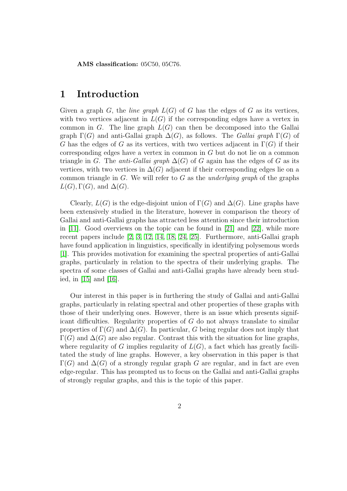AMS classification: 05C50, 05C76.

### 1 Introduction

Given a graph G, the *line graph*  $L(G)$  of G has the edges of G as its vertices, with two vertices adjacent in  $L(G)$  if the corresponding edges have a vertex in common in G. The line graph  $L(G)$  can then be decomposed into the Gallai graph  $\Gamma(G)$  and anti-Gallai graph  $\Delta(G)$ , as follows. The Gallai graph  $\Gamma(G)$  of G has the edges of G as its vertices, with two vertices adjacent in  $\Gamma(G)$  if their corresponding edges have a vertex in common in G but do not lie on a common triangle in G. The *anti-Gallai graph*  $\Delta(G)$  of G again has the edges of G as its vertices, with two vertices in  $\Delta(G)$  adjacent if their corresponding edges lie on a common triangle in G. We will refer to G as the *underlying graph* of the graphs  $L(G), \Gamma(G)$ , and  $\Delta(G)$ .

Clearly,  $L(G)$  is the edge-disjoint union of  $\Gamma(G)$  and  $\Delta(G)$ . Line graphs have been extensively studied in the literature, however in comparison the theory of Gallai and anti-Gallai graphs has attracted less attention since their introduction in [\[11\]](#page-15-0). Good overviews on the topic can be found in [\[21\]](#page-16-0) and [\[22\]](#page-16-1), while more recent papers include [\[2,](#page-14-0) [3,](#page-14-1) [12,](#page-15-1) [14,](#page-15-2) [18,](#page-15-3) [24,](#page-16-2) [25\]](#page-16-3). Furthermore, anti-Gallai graph have found application in linguistics, specifically in identifying polysemous words [\[1\]](#page-14-2). This provides motivation for examining the spectral properties of anti-Gallai graphs, particularly in relation to the spectra of their underlying graphs. The spectra of some classes of Gallai and anti-Gallai graphs have already been studied, in [\[15\]](#page-15-4) and [\[16\]](#page-15-5).

Our interest in this paper is in furthering the study of Gallai and anti-Gallai graphs, particularly in relating spectral and other properties of these graphs with those of their underlying ones. However, there is an issue which presents significant difficulties. Regularity properties of G do not always translate to similar properties of  $\Gamma(G)$  and  $\Delta(G)$ . In particular, G being regular does not imply that  $\Gamma(G)$  and  $\Delta(G)$  are also regular. Contrast this with the situation for line graphs, where regularity of G implies regularity of  $L(G)$ , a fact which has greatly facilitated the study of line graphs. However, a key observation in this paper is that  $\Gamma(G)$  and  $\Delta(G)$  of a strongly regular graph G are regular, and in fact are even edge-regular. This has prompted us to focus on the Gallai and anti-Gallai graphs of strongly regular graphs, and this is the topic of this paper.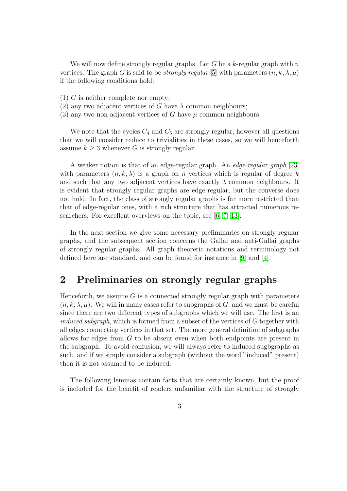We will now define strongly regular graphs. Let G be a k-regular graph with  $n$ vertices. The graph G is said to be *strongly regular* [\[5\]](#page-15-6) with parameters  $(n, k, \lambda, \mu)$ if the following conditions hold:

- (1) G is neither complete nor empty;
- (2) any two adjacent vertices of G have  $\lambda$  common neighbours;
- (3) any two non-adjacent vertices of G have  $\mu$  common neighbours.

We note that the cycles  $C_4$  and  $C_5$  are strongly regular, however all questions that we will consider reduce to trivialities in these cases, so we will henceforth assume  $k \geq 3$  whenever G is strongly regular.

A weaker notion is that of an edge-regular graph. An edge-regular graph [\[23\]](#page-16-4) with parameters  $(n, k, \lambda)$  is a graph on *n* vertices which is regular of degree k and such that any two adjacent vertices have exactly  $\lambda$  common neighbours. It is evident that strongly regular graphs are edge-regular, but the converse does not hold. In fact, the class of strongly regular graphs is far more restricted than that of edge-regular ones, with a rich structure that has attracted numerous researchers. For excellent overviews on the topic, see [\[6,](#page-15-7) [7,](#page-15-8) [13\]](#page-15-9).

In the next section we give some necessary preliminaries on strongly regular graphs, and the subsequent section concerns the Gallai and anti-Gallai graphs of strongly regular graphs. All graph theoretic notations and terminology not defined here are standard, and can be found for instance in [\[9\]](#page-15-10) and [\[4\]](#page-15-11).

# 2 Preliminaries on strongly regular graphs

Henceforth, we assume  $G$  is a connected strongly regular graph with parameters  $(n, k, \lambda, \mu)$ . We will in many cases refer to subgraphs of G, and we must be careful since there are two different types of subgraphs which we will use. The first is an induced subgraph, which is formed from a subset of the vertices of G together with all edges connecting vertices in that set. The more general definition of subgraphs allows for edges from G to be absent even when both endpoints are present in the subgraph. To avoid confusion, we will always refer to induced sugbgraphs as such, and if we simply consider a subgraph (without the word "induced" present) then it is not assumed to be induced.

The following lemmas contain facts that are certainly known, but the proof is included for the benefit of readers unfamiliar with the structure of strongly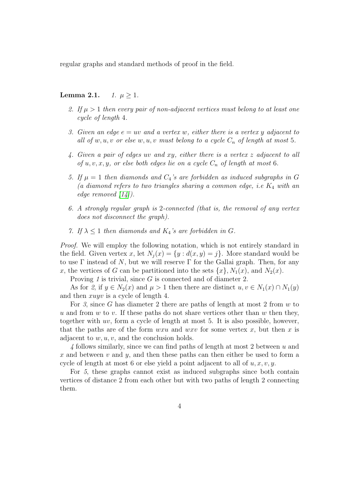regular graphs and standard methods of proof in the field.

### **Lemma 2.1.**  $1. \mu \geq 1.$

- 2. If  $\mu > 1$  then every pair of non-adjacent vertices must belong to at least one cycle of length 4.
- 3. Given an edge  $e = uv$  and a vertex w, either there is a vertex y adjacent to all of  $w, u, v$  or else  $w, u, v$  must belong to a cycle  $C_n$  of length at most 5.
- 4. Given a pair of edges uv and xy, either there is a vertex z adjacent to all of u, v, x, y, or else both edges lie on a cycle  $C_n$  of length at most 6.
- 5. If  $\mu = 1$  then diamonds and  $C_4$ 's are forbidden as induced subgraphs in G (a diamond refers to two triangles sharing a common edge, i.e  $K_4$  with an edge removed [\[14\]](#page-15-2)).
- 6. A strongly regular graph is 2-connected (that is, the removal of any vertex does not disconnect the graph).
- 7. If  $\lambda \leq 1$  then diamonds and  $K_4$ 's are forbidden in G.

Proof. We will employ the following notation, which is not entirely standard in the field. Given vertex x, let  $N_i(x) = \{y : d(x, y) = j\}$ . More standard would be to use  $\Gamma$  instead of N, but we will reserve  $\Gamma$  for the Gallai graph. Then, for any x, the vertices of G can be partitioned into the sets  $\{x\}$ ,  $N_1(x)$ , and  $N_2(x)$ .

Proving 1 is trivial, since G is connected and of diameter 2.

As for 2, if  $y \in N_2(x)$  and  $\mu > 1$  then there are distinct  $u, v \in N_1(x) \cap N_1(y)$ and then xuyv is a cycle of length 4.

For 3, since G has diameter 2 there are paths of length at most 2 from  $w$  to u and from w to v. If these paths do not share vertices other than w then they, together with uv, form a cycle of length at most 5. It is also possible, however, that the paths are of the form  $wxu$  and  $wxv$  for some vertex x, but then x is adjacent to  $w, u, v$ , and the conclusion holds.

4 follows similarly, since we can find paths of length at most 2 between u and x and between v and  $y$ , and then these paths can then either be used to form a cycle of length at most 6 or else yield a point adjacent to all of  $u, x, v, y$ .

For 5, these graphs cannot exist as induced subgraphs since both contain vertices of distance 2 from each other but with two paths of length 2 connecting them.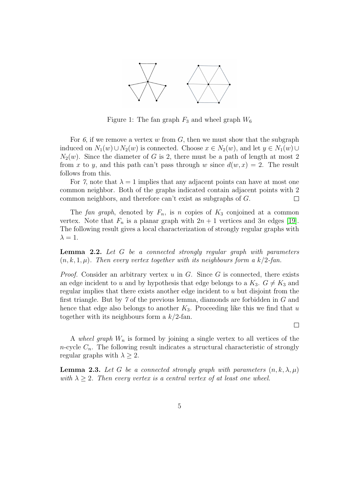

Figure 1: The fan graph  $F_3$  and wheel graph  $W_6$ 

For 6, if we remove a vertex w from  $G$ , then we must show that the subgraph induced on  $N_1(w) \cup N_2(w)$  is connected. Choose  $x \in N_2(w)$ , and let  $y \in N_1(w) \cup$  $N_2(w)$ . Since the diameter of G is 2, there must be a path of length at most 2 from x to y, and this path can't pass through w since  $d(w, x) = 2$ . The result follows from this.

For 7, note that  $\lambda = 1$  implies that any adjacent points can have at most one common neighbor. Both of the graphs indicated contain adjacent points with 2 common neighbors, and therefore can't exist as subgraphs of G.  $\Box$ 

The fan graph, denoted by  $F_n$ , is n copies of  $K_3$  conjoined at a common vertex. Note that  $F_n$  is a planar graph with  $2n + 1$  vertices and 3n edges [\[19\]](#page-16-5). The following result gives a local characterization of strongly regular graphs with  $\lambda = 1$ .

<span id="page-4-0"></span>Lemma 2.2. Let G be a connected strongly regular graph with parameters  $(n, k, 1, \mu)$ . Then every vertex together with its neighbours form a k/2-fan.

*Proof.* Consider an arbitrary vertex  $u$  in  $G$ . Since  $G$  is connected, there exists an edge incident to u and by hypothesis that edge belongs to a  $K_3$ .  $G \neq K_3$  and regular implies that there exists another edge incident to u but disjoint from the first triangle. But by 7 of the previous lemma, diamonds are forbidden in G and hence that edge also belongs to another  $K_3$ . Proceeding like this we find that u together with its neighbours form a  $k/2$ -fan.

 $\Box$ 

A wheel graph  $W_n$  is formed by joining a single vertex to all vertices of the n-cycle  $C_n$ . The following result indicates a structural characteristic of strongly regular graphs with  $\lambda > 2$ .

**Lemma 2.3.** Let G be a connected strongly graph with parameters  $(n, k, \lambda, \mu)$ with  $\lambda \geq 2$ . Then every vertex is a central vertex of at least one wheel.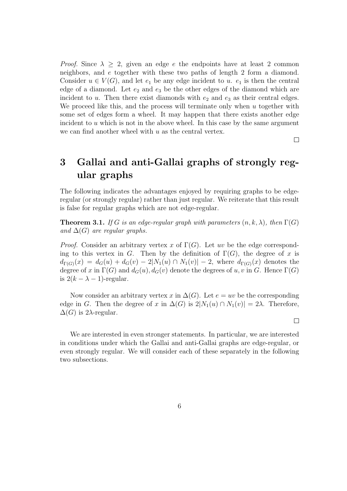*Proof.* Since  $\lambda \geq 2$ , given an edge e the endpoints have at least 2 common neighbors, and e together with these two paths of length 2 form a diamond. Consider  $u \in V(G)$ , and let  $e_1$  be any edge incident to u.  $e_1$  is then the central edge of a diamond. Let  $e_2$  and  $e_3$  be the other edges of the diamond which are incident to  $u$ . Then there exist diamonds with  $e_2$  and  $e_3$  as their central edges. We proceed like this, and the process will terminate only when  $u$  together with some set of edges form a wheel. It may happen that there exists another edge incident to  $u$  which is not in the above wheel. In this case by the same argument we can find another wheel with  $u$  as the central vertex.

 $\Box$ 

 $\Box$ 

# 3 Gallai and anti-Gallai graphs of strongly regular graphs

The following indicates the advantages enjoyed by requiring graphs to be edgeregular (or strongly regular) rather than just regular. We reiterate that this result is false for regular graphs which are not edge-regular.

<span id="page-5-0"></span>**Theorem 3.1.** If G is an edge-regular graph with parameters  $(n, k, \lambda)$ , then  $\Gamma(G)$ and  $\Delta(G)$  are regular graphs.

*Proof.* Consider an arbitrary vertex x of  $\Gamma(G)$ . Let uv be the edge corresponding to this vertex in G. Then by the definition of  $\Gamma(G)$ , the degree of x is  $d_{\Gamma(G)}(x) = d_G(u) + d_G(v) - 2|N_1(u) \cap N_1(v)| - 2$ , where  $d_{\Gamma(G)}(x)$  denotes the degree of x in  $\Gamma(G)$  and  $d_G(u)$ ,  $d_G(v)$  denote the degrees of u, v in G. Hence  $\Gamma(G)$ is  $2(k - \lambda - 1)$ -regular.

Now consider an arbitrary vertex x in  $\Delta(G)$ . Let  $e = uv$  be the corresponding edge in G. Then the degree of x in  $\Delta(G)$  is  $2|N_1(u) \cap N_1(v)| = 2\lambda$ . Therefore,  $\Delta(G)$  is 2 $\lambda$ -regular.

We are interested in even stronger statements. In particular, we are interested in conditions under which the Gallai and anti-Gallai graphs are edge-regular, or even strongly regular. We will consider each of these separately in the following two subsections.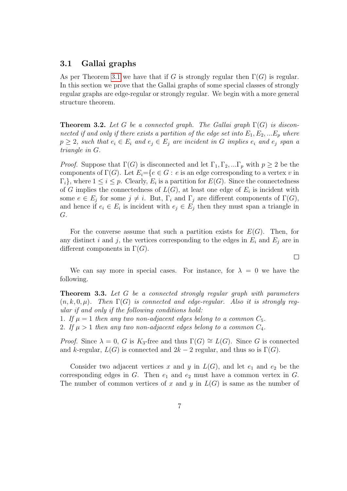### 3.1 Gallai graphs

As per Theorem [3.1](#page-5-0) we have that if G is strongly regular then  $\Gamma(G)$  is regular. In this section we prove that the Gallai graphs of some special classes of strongly regular graphs are edge-regular or strongly regular. We begin with a more general structure theorem.

<span id="page-6-1"></span>**Theorem 3.2.** Let G be a connected graph. The Gallai graph  $\Gamma(G)$  is disconnected if and only if there exists a partition of the edge set into  $E_1, E_2, ... E_p$  where  $p \geq 2$ , such that  $e_i \in E_i$  and  $e_j \in E_j$  are incident in G implies  $e_i$  and  $e_j$  span a triangle in G.

*Proof.* Suppose that  $\Gamma(G)$  is disconnected and let  $\Gamma_1, \Gamma_2, \dots \Gamma_p$  with  $p \geq 2$  be the components of  $\Gamma(G)$ . Let  $E_i = \{e \in G : e \text{ is an edge corresponding to a vertex } v \text{ in } \Omega\}$  $\Gamma_i$ , where  $1 \leq i \leq p$ . Clearly,  $E_i$  is a partition for  $E(G)$ . Since the connectedness of G implies the connectedness of  $L(G)$ , at least one edge of  $E_i$  is incident with some  $e \in E_j$  for some  $j \neq i$ . But,  $\Gamma_i$  and  $\Gamma_j$  are different components of  $\Gamma(G)$ , and hence if  $e_i \in E_i$  is incident with  $e_j \in E_j$  then they must span a triangle in G.

For the converse assume that such a partition exists for  $E(G)$ . Then, for any distinct i and j, the vertices corresponding to the edges in  $E_i$  and  $E_j$  are in different components in  $\Gamma(G)$ .

We can say more in special cases. For instance, for  $\lambda = 0$  we have the following.

<span id="page-6-0"></span>Theorem 3.3. Let G be a connected strongly regular graph with parameters  $(n, k, 0, \mu)$ . Then  $\Gamma(G)$  is connected and edge-regular. Also it is strongly regular if and only if the following conditions hold:

1. If  $\mu = 1$  then any two non-adjacent edges belong to a common  $C_5$ .

2. If  $\mu > 1$  then any two non-adjacent edges belong to a common  $C_4$ .

*Proof.* Since  $\lambda = 0$ , G is K<sub>3</sub>-free and thus  $\Gamma(G) \cong L(G)$ . Since G is connected and k-regular,  $L(G)$  is connected and  $2k-2$  regular, and thus so is  $\Gamma(G)$ .

Consider two adjacent vertices x and y in  $L(G)$ , and let  $e_1$  and  $e_2$  be the corresponding edges in  $G$ . Then  $e_1$  and  $e_2$  must have a common vertex in  $G$ . The number of common vertices of x and y in  $L(G)$  is same as the number of

 $\Box$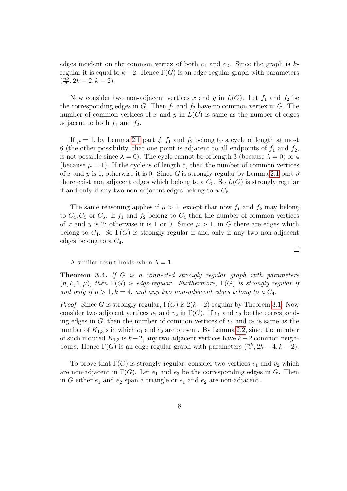edges incident on the common vertex of both  $e_1$  and  $e_2$ . Since the graph is kregular it is equal to  $k-2$ . Hence  $\Gamma(G)$  is an edge-regular graph with parameters  $\left(\frac{nk}{2}\right)$  $\frac{2}{2}$ , 2k – 2, k – 2).

Now consider two non-adjacent vertices x and y in  $L(G)$ . Let  $f_1$  and  $f_2$  be the corresponding edges in G. Then  $f_1$  and  $f_2$  have no common vertex in G. The number of common vertices of x and y in  $L(G)$  is same as the number of edges adjacent to both  $f_1$  and  $f_2$ .

If  $\mu = 1$ , by Lemma [2.1](#page-0-0) part 4,  $f_1$  and  $f_2$  belong to a cycle of length at most 6 (the other possibility, that one point is adjacent to all endpoints of  $f_1$  and  $f_2$ , is not possible since  $\lambda = 0$ ). The cycle cannot be of length 3 (because  $\lambda = 0$ ) or 4 (because  $\mu = 1$ ). If the cycle is of length 5, then the number of common vertices of x and y is 1, otherwise it is 0. Since G is strongly regular by Lemma [2.1](#page-0-0) part 3 there exist non adjacent edges which belong to a  $C_5$ . So  $L(G)$  is strongly regular if and only if any two non-adjacent edges belong to a  $C_5$ .

The same reasoning applies if  $\mu > 1$ , except that now  $f_1$  and  $f_2$  may belong to  $C_4$ ,  $C_5$  or  $C_6$ . If  $f_1$  and  $f_2$  belong to  $C_4$  then the number of common vertices of x and y is 2; otherwise it is 1 or 0. Since  $\mu > 1$ , in G there are edges which belong to  $C_4$ . So  $\Gamma(G)$  is strongly regular if and only if any two non-adjacent edges belong to a  $C_4$ .

A similar result holds when  $\lambda = 1$ .

<span id="page-7-0"></span>**Theorem 3.4.** If G is a connected strongly regular graph with parameters  $(n, k, 1, \mu)$ , then  $\Gamma(G)$  is edge-regular. Furthermore,  $\Gamma(G)$  is strongly regular if and only if  $\mu > 1, k = 4$ , and any two non-adjacent edges belong to a  $C_4$ .

*Proof.* Since G is strongly regular,  $\Gamma(G)$  is  $2(k-2)$ -regular by Theorem [3.1.](#page-5-0) Now consider two adjacent vertices  $v_1$  and  $v_2$  in  $\Gamma(G)$ . If  $e_1$  and  $e_2$  be the corresponding edges in  $G$ , then the number of common vertices of  $v_1$  and  $v_2$  is same as the number of  $K_{1,3}$ 's in which  $e_1$  and  $e_2$  are present. By Lemma [2.2,](#page-4-0) since the number of such induced  $K_{1,3}$  is  $k-2$ , any two adjacent vertices have  $k-2$  common neighbours. Hence  $\Gamma(G)$  is an edge-regular graph with parameters  $(\frac{nk}{2}, 2k-4, k-2)$ .

To prove that  $\Gamma(G)$  is strongly regular, consider two vertices  $v_1$  and  $v_2$  which are non-adjacent in  $\Gamma(G)$ . Let  $e_1$  and  $e_2$  be the corresponding edges in G. Then in G either  $e_1$  and  $e_2$  span a triangle or  $e_1$  and  $e_2$  are non-adjacent.

 $\Box$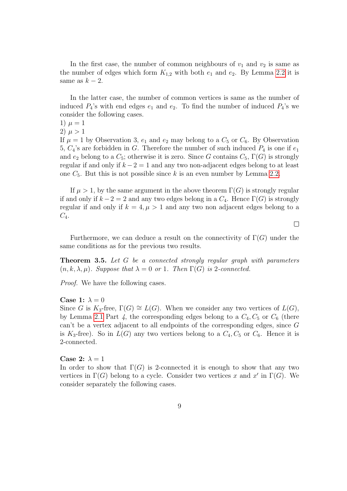In the first case, the number of common neighbours of  $v_1$  and  $v_2$  is same as the number of edges which form  $K_{1,2}$  with both  $e_1$  and  $e_2$ . By Lemma [2.2](#page-4-0) it is same as  $k-2$ .

In the latter case, the number of common vertices is same as the number of induced  $P_4$ 's with end edges  $e_1$  and  $e_2$ . To find the number of induced  $P_4$ 's we consider the following cases.

1)  $\mu = 1$ 

2)  $\mu > 1$ 

If  $\mu = 1$  by Observation 3,  $e_1$  and  $e_2$  may belong to a  $C_5$  or  $C_6$ . By Observation 5,  $C_4$ 's are forbidden in G. Therefore the number of such induced  $P_4$  is one if  $e_1$ and  $e_2$  belong to a  $C_5$ ; otherwise it is zero. Since G contains  $C_5$ ,  $\Gamma(G)$  is strongly regular if and only if  $k - 2 = 1$  and any two non-adjacent edges belong to at least one  $C_5$ . But this is not possible since k is an even number by Lemma [2.2.](#page-4-0)

If  $\mu > 1$ , by the same argument in the above theorem  $\Gamma(G)$  is strongly regular if and only if  $k - 2 = 2$  and any two edges belong in a  $C_4$ . Hence  $\Gamma(G)$  is strongly regular if and only if  $k = 4, \mu > 1$  and any two non adjacent edges belong to a  $C_4$ .

Furthermore, we can deduce a result on the connectivity of  $\Gamma(G)$  under the same conditions as for the previous two results.

 $\Box$ 

**Theorem 3.5.** Let G be a connected strongly regular graph with parameters  $(n, k, \lambda, \mu)$ . Suppose that  $\lambda = 0$  or 1. Then  $\Gamma(G)$  is 2-connected.

Proof. We have the following cases.

#### Case 1:  $\lambda = 0$

Since G is  $K_3$ -free,  $\Gamma(G) \cong L(G)$ . When we consider any two vertices of  $L(G)$ , by Lemma [2.1](#page-0-0) Part  $\lambda$ , the corresponding edges belong to a  $C_4$ ,  $C_5$  or  $C_6$  (there can't be a vertex adjacent to all endpoints of the corresponding edges, since G is  $K_3$ -free). So in  $L(G)$  any two vertices belong to a  $C_4$ ,  $C_5$  or  $C_6$ . Hence it is 2-connected.

#### Case 2:  $\lambda = 1$

In order to show that  $\Gamma(G)$  is 2-connected it is enough to show that any two vertices in  $\Gamma(G)$  belong to a cycle. Consider two vertices x and x' in  $\Gamma(G)$ . We consider separately the following cases.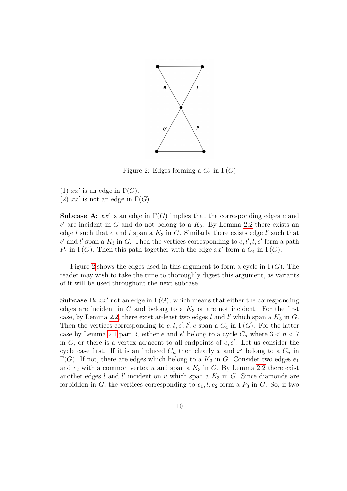

<span id="page-9-0"></span>Figure 2: Edges forming a  $C_4$  in  $\Gamma(G)$ 

(1)  $xx'$  is an edge in  $\Gamma(G)$ .

(2)  $xx'$  is not an edge in  $\Gamma(G)$ .

**Subcase A:**  $xx'$  is an edge in  $\Gamma(G)$  implies that the corresponding edges e and  $e'$  are incident in G and do not belong to a  $K_3$ . By Lemma [2.2](#page-4-0) there exists an edge l such that e and l span a  $K_3$  in G. Similarly there exists edge l' such that  $e'$  and l' span a  $K_3$  in G. Then the vertices corresponding to  $e, l', l, e'$  form a path  $P_4$  in  $\Gamma(G)$ . Then this path together with the edge  $xx'$  form a  $C_4$  in  $\Gamma(G)$ .

Figure [2](#page-9-0) shows the edges used in this argument to form a cycle in  $\Gamma(G)$ . The reader may wish to take the time to thoroughly digest this argument, as variants of it will be used throughout the next subcase.

**Subcase B:**  $xx'$  not an edge in  $\Gamma(G)$ , which means that either the corresponding edges are incident in  $G$  and belong to a  $K_3$  or are not incident. For the first case, by Lemma [2.2,](#page-4-0) there exist at-least two edges  $l$  and  $l'$  which span a  $K_3$  in  $G$ . Then the vertices corresponding to  $e, l, e', l', e$  span a  $C_4$  in  $\Gamma(G)$ . For the latter case by Lemma [2.1](#page-0-0) part 4, either e and e' belong to a cycle  $C_n$  where  $3 < n < 7$ in  $G$ , or there is a vertex adjacent to all endpoints of  $e, e'$ . Let us consider the cycle case first. If it is an induced  $C_n$  then clearly x and x' belong to a  $C_n$  in  $\Gamma(G)$ . If not, there are edges which belong to a  $K_3$  in G. Consider two edges  $e_1$ and  $e_2$  with a common vertex u and span a  $K_3$  in G. By Lemma [2.2](#page-4-0) there exist another edges  $l$  and  $l'$  incident on  $u$  which span a  $K_3$  in  $G$ . Since diamonds are forbidden in G, the vertices corresponding to  $e_1, l, e_2$  form a  $P_3$  in G. So, if two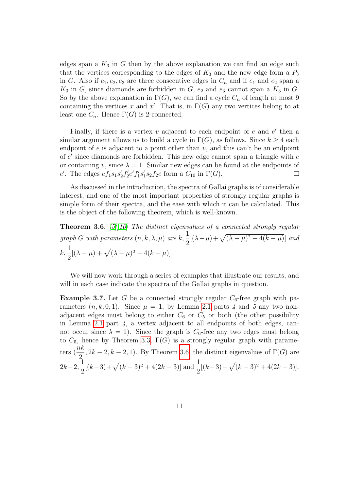edges span a  $K_3$  in G then by the above explanation we can find an edge such that the vertices corresponding to the edges of  $K_3$  and the new edge form a  $P_3$ in G. Also if  $e_1, e_2, e_3$  are three consecutive edges in  $C_n$  and if  $e_1$  and  $e_2$  span a  $K_3$  in G, since diamonds are forbidden in G,  $e_2$  and  $e_3$  cannot span a  $K_3$  in G. So by the above explanation in  $\Gamma(G)$ , we can find a cycle  $C_n$  of length at most 9 containing the vertices x and x'. That is, in  $\Gamma(G)$  any two vertices belong to at least one  $C_n$ . Hence  $\Gamma(G)$  is 2-connected.

Finally, if there is a vertex  $v$  adjacent to each endpoint of  $e$  and  $e'$  then a similar argument allows us to build a cycle in  $\Gamma(G)$ , as follows. Since  $k \geq 4$  each endpoint of  $e$  is adjacent to a point other than  $v$ , and this can't be an endpoint of  $e'$  since diamonds are forbidden. This new edge cannot span a triangle with  $e$ or containing v, since  $\lambda = 1$ . Similar new edges can be found at the endpoints of e'. The edges  $ef_1s_1s'_2f'_2e'f'_1s'_1s_2f_2e$  form a  $C_{10}$  in  $\Gamma(G)$ .  $\Box$ 

As discussed in the introduction, the spectra of Gallai graphs is of considerable interest, and one of the most important properties of strongly regular graphs is simple form of their spectra, and the ease with which it can be calculated. This is the object of the following theorem, which is well-known.

<span id="page-10-0"></span>**Theorem 3.6.** [\[5\]](#page-15-6)[\[10\]](#page-15-12) The distinct eigenvalues of a connected strongly regular graph G with parameters  $(n, k, \lambda, \mu)$  are  $k, \frac{1}{2}$ 2  $[(\lambda - \mu) + \sqrt{(\lambda - \mu)^2 + 4(k - \mu)}]$  and  $k, \frac{1}{2}$ 2  $[(\lambda - \mu) + \sqrt{(\lambda - \mu)^2 - 4(k - \mu)}].$ 

We will now work through a series of examples that illustrate our results, and will in each case indicate the spectra of the Gallai graphs in question.

**Example 3.7.** Let G be a connected strongly regular  $C_6$ -free graph with parameters  $(n, k, 0, 1)$ . Since  $\mu = 1$ , by Lemma [2.1](#page-0-0) parts 4 and 5 any two nonadjacent edges must belong to either  $C_6$  or  $C_5$  or both (the other possibility in Lemma [2.1](#page-0-0) part  $\dot{4}$ , a vertex adjacent to all endpoints of both edges, cannot occur since  $\lambda = 1$ ). Since the graph is  $C_6$ -free any two edges must belong to  $C_5$ , hence by Theorem [3.3,](#page-6-0)  $\Gamma(G)$  is a strongly regular graph with parameters  $\left(\frac{nk}{2}\right)$ 2  $, 2k-2, k-2, 1$ ). By Theorem [3.6,](#page-10-0) the distinct eigenvalues of  $\Gamma(G)$  are  $2k-2, -1$ 2  $[(k-3)+\sqrt{(k-3)^2+4(2k-3)}]$  and  $\frac{1}{2}$ 2  $[(k-3)-\sqrt{(k-3)^2+4(2k-3)}].$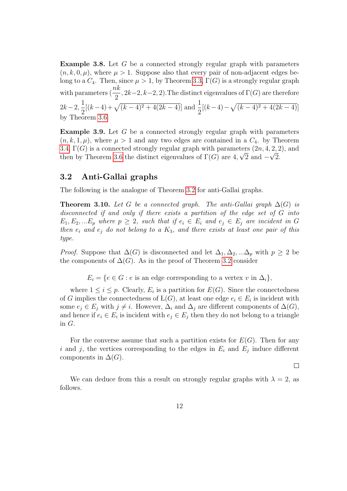Example 3.8. Let G be a connected strongly regular graph with parameters  $(n, k, 0, \mu)$ , where  $\mu > 1$ . Suppose also that every pair of non-adjacent edges belong to a  $C_4$ . Then, since  $\mu > 1$ , by Theorem [3.3,](#page-6-0)  $\Gamma(G)$  is a strongly regular graph with parameters  $\left(\frac{nk}{2}\right)$ 2  $, 2k-2, k-2, 2$ . The distinct eigenvalues of  $\Gamma(G)$  are therefore  $2k-2, \frac{1}{2}$ 2  $[(k-4)+\sqrt{(k-4)^2+4(2k-4)}]$  and  $\frac{1}{2}$ 2  $[(k-4)-\sqrt{(k-4)^2+4(2k-4)}]$ by Theorem [3.6.](#page-10-0)

**Example 3.9.** Let  $G$  be a connected strongly regular graph with parameters  $(n, k, 1, \mu)$ , where  $\mu > 1$  and any two edges are contained in a  $C_4$ . by Theorem [3.4,](#page-7-0)  $\Gamma(G)$  is a connected strongly regular graph with parameters  $(2n, 4, 2, 2)$ , and then by Theorem [3.6](#page-10-0) the distinct eigenvalues of  $\Gamma(G)$  are 4,  $\sqrt{2}$  and  $-\sqrt{2}$ .

### 3.2 Anti-Gallai graphs

The following is the analogue of Theorem [3.2](#page-6-1) for anti-Gallai graphs.

<span id="page-11-0"></span>**Theorem 3.10.** Let G be a connected graph. The anti-Gallai graph  $\Delta(G)$  is disconnected if and only if there exists a partition of the edge set of G into  $E_1, E_2, ... E_p$  where  $p \geq 2$ , such that if  $e_i \in E_i$  and  $e_j \in E_j$  are incident in G then  $e_i$  and  $e_j$  do not belong to a  $K_3$ , and there exists at least one pair of this type.

*Proof.* Suppose that  $\Delta(G)$  is disconnected and let  $\Delta_1, \Delta_2, ... \Delta_p$  with  $p \geq 2$  be the components of  $\Delta(G)$ . As in the proof of Theorem [3.2](#page-6-1) consider

 $E_i = \{e \in G : e \text{ is an edge corresponding to a vertex } v \text{ in } \Delta_i\},\$ 

where  $1 \leq i \leq p$ . Clearly,  $E_i$  is a partition for  $E(G)$ . Since the connectedness of G implies the connectedness of  $L(G)$ , at least one edge  $e_i \in E_i$  is incident with some  $e_j \in E_j$  with  $j \neq i$ . However,  $\Delta_i$  and  $\Delta_j$  are different components of  $\Delta(G)$ , and hence if  $e_i \in E_i$  is incident with  $e_j \in E_j$  then they do not belong to a triangle in G.

For the converse assume that such a partition exists for  $E(G)$ . Then for any i and j, the vertices corresponding to the edges in  $E_i$  and  $E_j$  induce different components in  $\Delta(G)$ .

 $\Box$ 

We can deduce from this a result on strongly regular graphs with  $\lambda = 2$ , as follows.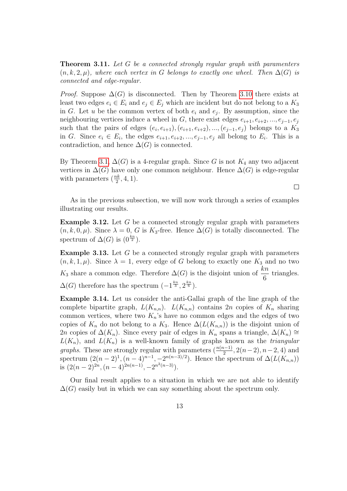<span id="page-12-0"></span>**Theorem 3.11.** Let G be a connected strongly regular graph with paramenters  $(n, k, 2, \mu)$ , where each vertex in G belongs to exactly one wheel. Then  $\Delta(G)$  is connected and edge-regular.

*Proof.* Suppose  $\Delta(G)$  is disconnected. Then by Theorem [3.10](#page-11-0) there exists at least two edges  $e_i \in E_i$  and  $e_j \in E_j$  which are incident but do not belong to a  $K_3$ in G. Let u be the common vertex of both  $e_i$  and  $e_j$ . By assumption, since the neighbouring vertices induce a wheel in G, there exist edges  $e_{i+1}, e_{i+2}, ..., e_{i-1}, e_i$ such that the pairs of edges  $(e_i, e_{i+1}), (e_{i+1}, e_{i+2}), ..., (e_{j-1}, e_j)$  belongs to a  $K_3$ in G. Since  $e_i \in E_i$ , the edges  $e_{i+1}, e_{i+2}, \ldots, e_{j-1}, e_j$  all belong to  $E_i$ . This is a contradiction, and hence  $\Delta(G)$  is connected.

By Theorem [3.1,](#page-5-0)  $\Delta(G)$  is a 4-regular graph. Since G is not  $K_4$  any two adjacent vertices in  $\Delta(G)$  have only one common neighbour. Hence  $\Delta(G)$  is edge-regular with parameters  $(\frac{nk}{2}, 4, 1)$ .

As in the previous subsection, we will now work through a series of examples illustrating our results.

 $\Box$ 

**Example 3.12.** Let  $G$  be a connected strongly regular graph with parameters  $(n, k, 0, \mu)$ . Since  $\lambda = 0$ , G is K<sub>3</sub>-free. Hence  $\Delta(G)$  is totally disconnected. The spectrum of  $\Delta(G)$  is  $(0^{\frac{kn}{2}})$ .

**Example 3.13.** Let  $G$  be a connected strongly regular graph with parameters  $(n, k, 1, \mu)$ . Since  $\lambda = 1$ , every edge of G belong to exactly one  $K_3$  and no two  $K_3$  share a common edge. Therefore  $\Delta(G)$  is the disjoint union of  $\frac{kn}{6}$ triangles.  $\Delta(G)$  therefore has the spectrum  $\left(-1^{\frac{kn}{3}}, 2^{\frac{kn}{6}}\right)$ .

Example 3.14. Let us consider the anti-Gallai graph of the line graph of the complete bipartite graph,  $L(K_{n,n})$ .  $L(K_{n,n})$  contains  $2n$  copies of  $K_n$  sharing common vertices, where two  $K_n$ 's have no common edges and the edges of two copies of  $K_n$  do not belong to a  $K_3$ . Hence  $\Delta(L(K_{n,n}))$  is the disjoint union of 2n copies of  $\Delta(K_n)$ . Since every pair of edges in K<sub>n</sub> spans a triangle,  $\Delta(K_n) \cong$  $L(K_n)$ , and  $L(K_n)$  is a well-known family of graphs known as the *triangular graphs*. These are strongly regular with parameters  $(\frac{n(n-1)}{2}, 2(n-2), n-2, 4)$  and spectrum  $(2(n-2)^1, (n-4)^{n-1}, -2^{n(n-3)/2})$ . Hence the spectrum of  $\Delta(L(K_{n,n}))$ is  $(2(n-2)^{2n}, (n-4)^{2n(n-1)}, -2^{n^2(n-3)}).$ 

Our final result applies to a situation in which we are not able to identify  $\Delta(G)$  easily but in which we can say something about the spectrum only.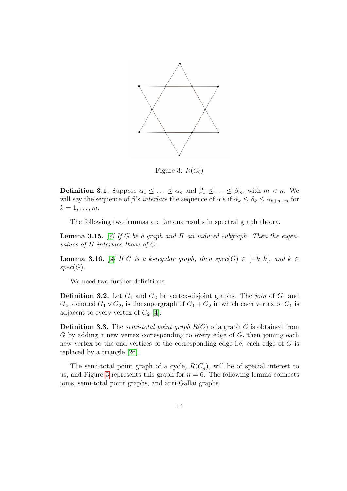

<span id="page-13-0"></span>Figure 3:  $R(C_6)$ 

**Definition 3.1.** Suppose  $\alpha_1 \leq \ldots \leq \alpha_n$  and  $\beta_1 \leq \ldots \leq \beta_m$ , with  $m < n$ . We will say the sequence of  $\beta$ 's *interlace* the sequence of  $\alpha$ 's if  $\alpha_k \leq \beta_k \leq \alpha_{k+n-m}$  for  $k=1,\ldots,m$ .

The following two lemmas are famous results in spectral graph theory.

<span id="page-13-2"></span>**Lemma 3.15.** [\[8\]](#page-15-13) If G be a graph and H an induced subgraph. Then the eigenvalues of H interlace those of G.

<span id="page-13-1"></span>**Lemma 3.16.** [\[4\]](#page-15-11) If G is a k-regular graph, then spec(G)  $\in [-k, k]$ , and  $k \in$  $spec(G).$ 

We need two further definitions.

**Definition 3.2.** Let  $G_1$  and  $G_2$  be vertex-disjoint graphs. The *join* of  $G_1$  and  $G_2$ , denoted  $G_1 \vee G_2$ , is the supergraph of  $G_1 + G_2$  in which each vertex of  $G_1$  is adjacent to every vertex of  $G_2$  [\[4\]](#page-15-11).

**Definition 3.3.** The *semi-total point graph*  $R(G)$  of a graph G is obtained from  $G$  by adding a new vertex corresponding to every edge of  $G$ , then joining each new vertex to the end vertices of the corresponding edge i.e; each edge of G is replaced by a triangle [\[26\]](#page-16-6).

The semi-total point graph of a cycle,  $R(C_n)$ , will be of special interest to us, and Figure [3](#page-13-0) represents this graph for  $n = 6$ . The following lemma connects joins, semi-total point graphs, and anti-Gallai graphs.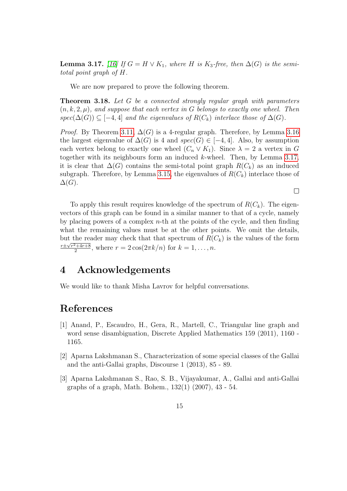<span id="page-14-3"></span>**Lemma 3.17.** [\[16\]](#page-15-5) If  $G = H \vee K_1$ , where H is K<sub>3</sub>-free, then  $\Delta(G)$  is the semitotal point graph of H.

We are now prepared to prove the following theorem.

Theorem 3.18. Let G be a connected strongly regular graph with parameters  $(n, k, 2, \mu)$ , and suppose that each vertex in G belongs to exactly one wheel. Then spec( $\Delta(G)$ ) ⊆ [-4,4] and the eigenvalues of  $R(C_k)$  interlace those of  $\Delta(G)$ .

*Proof.* By Theorem [3.11,](#page-12-0)  $\Delta(G)$  is a 4-regular graph. Therefore, by Lemma [3.16](#page-13-1) the largest eigenvalue of  $\Delta(G)$  is 4 and  $spec(G) \in [-4, 4]$ . Also, by assumption each vertex belong to exactly one wheel  $(C_n \vee K_1)$ . Since  $\lambda = 2$  a vertex in G together with its neighbours form an induced k-wheel. Then, by Lemma [3.17,](#page-14-3) it is clear that  $\Delta(G)$  contains the semi-total point graph  $R(C_k)$  as an induced subgraph. Therefore, by Lemma [3.15,](#page-13-2) the eigenvalues of  $R(C_k)$  interlace those of  $\Delta(G)$ .

 $\Box$ 

To apply this result requires knowledge of the spectrum of  $R(C_k)$ . The eigenvectors of this graph can be found in a similar manner to that of a cycle, namely by placing powers of a complex  $n$ -th at the points of the cycle, and then finding what the remaining values must be at the other points. We omit the details, but the reader may check that that spectrum of  $R(C_k)$  is the values of the form  $r \pm \sqrt{r^2+4r+8}$  $\frac{2^{2}+4r+8}{2}$ , where  $r = 2\cos(2\pi k/n)$  for  $k = 1, ..., n$ .

## 4 Acknowledgements

We would like to thank Misha Lavrov for helpful conversations.

## References

- <span id="page-14-2"></span>[1] Anand, P., Escaudro, H., Gera, R., Martell, C., Triangular line graph and word sense disambiguation, Discrete Applied Mathematics 159 (2011), 1160 - 1165.
- <span id="page-14-0"></span>[2] Aparna Lakshmanan S., Characterization of some special classes of the Gallai and the anti-Gallai graphs, Discourse 1 (2013), 85 - 89.
- <span id="page-14-1"></span>[3] Aparna Lakshmanan S., Rao, S. B., Vijayakumar, A., Gallai and anti-Gallai graphs of a graph, Math. Bohem., 132(1) (2007), 43 - 54.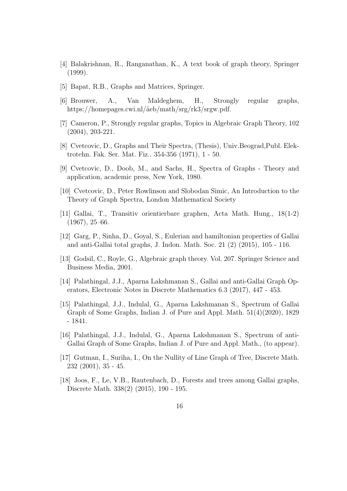- <span id="page-15-11"></span>[4] Balakrishnan, R., Ranganathan, K., A text book of graph theory, Springer (1999).
- <span id="page-15-6"></span>[5] Bapat, R.B., Graphs and Matrices, Springer.
- <span id="page-15-7"></span>[6] Brouwer, A., Van Maldeghem, H., Strongly regular graphs, https://homepages.cwi.nl/ $\tilde{a}$ eb/math/srg/rk3/srgw.pdf.
- <span id="page-15-8"></span>[7] Cameron, P., Strongly regular graphs, Topics in Algebraic Graph Theory, 102 (2004), 203-221.
- <span id="page-15-13"></span>[8] Cvetcovic, D., Graphs and Their Spectra, (Thesis), Univ.Beograd,Publ. Elektrotehn. Fak. Ser. Mat. Fiz.. 354-356 (1971), 1 - 50.
- <span id="page-15-10"></span>[9] Cvetcovic, D., Doob, M., and Sachs, H., Spectra of Graphs - Theory and application, academic press, New York, 1980.
- <span id="page-15-12"></span>[10] Cvetcovic, D., Peter Rowlinson and Slobodan Simic, An Introduction to the Theory of Graph Spectra, London Mathematical Society
- <span id="page-15-0"></span>[11] Gallai, T., Transitiv orientierbare graphen, Acta Math. Hung., 18(1-2) (1967), 25–66.
- <span id="page-15-1"></span>[12] Garg, P., Sinha, D., Goyal, S., Eulerian and hamiltonian properties of Gallai and anti-Gallai total graphs, J. Indon. Math. Soc. 21 (2) (2015), 105 - 116.
- <span id="page-15-9"></span>[13] Godsil, C., Royle, G., Algebraic graph theory. Vol. 207. Springer Science and Business Media, 2001.
- <span id="page-15-2"></span>[14] Palathingal, J.J., Aparna Lakshmanan S., Gallai and anti-Gallai Graph Operators, Electronic Notes in Discrete Mathematics 6.3 (2017), 447 - 453.
- <span id="page-15-4"></span>[15] Palathingal, J.J., Indulal, G., Aparna Lakshmanan S., Spectrum of Gallai Graph of Some Graphs, Indian J. of Pure and Appl. Math. 51(4)(2020), 1829 - 1841.
- <span id="page-15-5"></span>[16] Palathingal, J.J., Indulal, G., Aparna Lakshmanan S., Spectrum of anti-Gallai Graph of Some Graphs, Indian J. of Pure and Appl. Math., (to appear).
- [17] Gutman, I., Suriha, I., On the Nullity of Line Graph of Tree, Discrete Math. 232 (2001), 35 - 45.
- <span id="page-15-3"></span>[18] Joos, F., Le, V.B., Rautenbach, D., Forests and trees among Gallai graphs, Discrete Math. 338(2) (2015), 190 - 195.